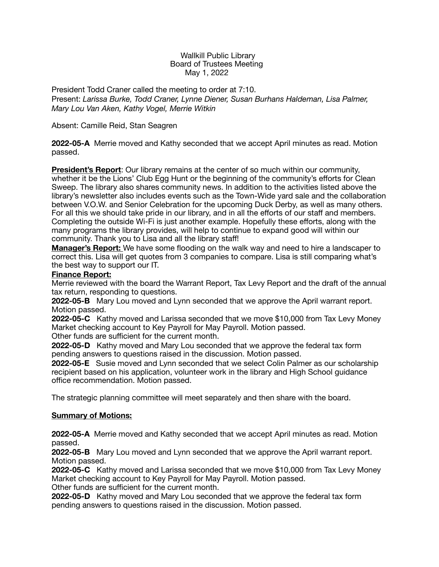#### Wallkill Public Library Board of Trustees Meeting May 1, 2022

President Todd Craner called the meeting to order at 7:10. Present: *Larissa Burke, Todd Craner, Lynne Diener, Susan Burhans Haldeman, Lisa Palmer, Mary Lou Van Aken, Kathy Vogel, Merrie Witkin* 

## Absent: Camille Reid, Stan Seagren

**2022-05-A** Merrie moved and Kathy seconded that we accept April minutes as read. Motion passed.

**President's Report**: Our library remains at the center of so much within our community, whether it be the Lions' Club Egg Hunt or the beginning of the community's efforts for Clean Sweep. The library also shares community news. In addition to the activities listed above the library's newsletter also includes events such as the Town-Wide yard sale and the collaboration between V.O.W. and Senior Celebration for the upcoming Duck Derby, as well as many others. For all this we should take pride in our library, and in all the efforts of our staff and members. Completing the outside Wi-Fi is just another example. Hopefully these efforts, along with the many programs the library provides, will help to continue to expand good will within our community. Thank you to Lisa and all the library staff!

**Manager's Report:** We have some flooding on the walk way and need to hire a landscaper to correct this. Lisa will get quotes from 3 companies to compare. Lisa is still comparing what's the best way to support our IT.

### **Finance Report:**

Merrie reviewed with the board the Warrant Report, Tax Levy Report and the draft of the annual tax return, responding to questions.

**2022-05-B** Mary Lou moved and Lynn seconded that we approve the April warrant report. Motion passed.

**2022-05-C** Kathy moved and Larissa seconded that we move \$10,000 from Tax Levy Money Market checking account to Key Payroll for May Payroll. Motion passed.

Other funds are sufficient for the current month.

**2022-05-D** Kathy moved and Mary Lou seconded that we approve the federal tax form pending answers to questions raised in the discussion. Motion passed.

**2022-05-E** Susie moved and Lynn seconded that we select Colin Palmer as our scholarship recipient based on his application, volunteer work in the library and High School guidance office recommendation. Motion passed.

The strategic planning committee will meet separately and then share with the board.

### **Summary of Motions:**

**2022-05-A** Merrie moved and Kathy seconded that we accept April minutes as read. Motion passed.

**2022-05-B** Mary Lou moved and Lynn seconded that we approve the April warrant report. Motion passed.

**2022-05-C** Kathy moved and Larissa seconded that we move \$10,000 from Tax Levy Money Market checking account to Key Payroll for May Payroll. Motion passed.

Other funds are sufficient for the current month.

**2022-05-D** Kathy moved and Mary Lou seconded that we approve the federal tax form pending answers to questions raised in the discussion. Motion passed.